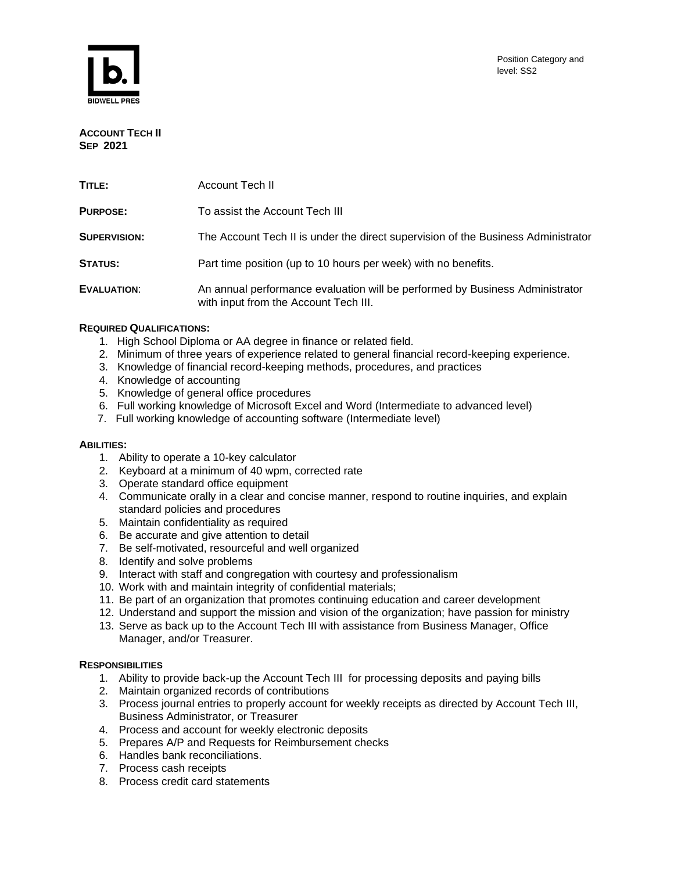



**ACCOUNT TECH II SEP 2021**

| TITLE:              | Account Tech II                                                                                                       |
|---------------------|-----------------------------------------------------------------------------------------------------------------------|
| <b>PURPOSE:</b>     | To assist the Account Tech III                                                                                        |
| <b>SUPERVISION:</b> | The Account Tech II is under the direct supervision of the Business Administrator                                     |
| <b>STATUS:</b>      | Part time position (up to 10 hours per week) with no benefits.                                                        |
| EVALUATION:         | An annual performance evaluation will be performed by Business Administrator<br>with input from the Account Tech III. |

# **REQUIRED QUALIFICATIONS:**

- 1. High School Diploma or AA degree in finance or related field.
- 2. Minimum of three years of experience related to general financial record-keeping experience.
- 3. Knowledge of financial record-keeping methods, procedures, and practices
- 4. Knowledge of accounting
- 5. Knowledge of general office procedures
- 6. Full working knowledge of Microsoft Excel and Word (Intermediate to advanced level)
- 7. Full working knowledge of accounting software (Intermediate level)

### **ABILITIES:**

- 1. Ability to operate a 10-key calculator
- 2. Keyboard at a minimum of 40 wpm, corrected rate
- 3. Operate standard office equipment
- 4. Communicate orally in a clear and concise manner, respond to routine inquiries, and explain standard policies and procedures
- 5. Maintain confidentiality as required
- 6. Be accurate and give attention to detail
- 7. Be self-motivated, resourceful and well organized
- 8. Identify and solve problems
- 9. Interact with staff and congregation with courtesy and professionalism
- 10. Work with and maintain integrity of confidential materials;
- 11. Be part of an organization that promotes continuing education and career development
- 12. Understand and support the mission and vision of the organization; have passion for ministry
- 13. Serve as back up to the Account Tech III with assistance from Business Manager, Office Manager, and/or Treasurer.

# **RESPONSIBILITIES**

- 1. Ability to provide back-up the Account Tech III for processing deposits and paying bills
- 2. Maintain organized records of contributions
- 3. Process journal entries to properly account for weekly receipts as directed by Account Tech III, Business Administrator, or Treasurer
- 4. Process and account for weekly electronic deposits
- 5. Prepares A/P and Requests for Reimbursement checks
- 6. Handles bank reconciliations.
- 7. Process cash receipts
- 8. Process credit card statements